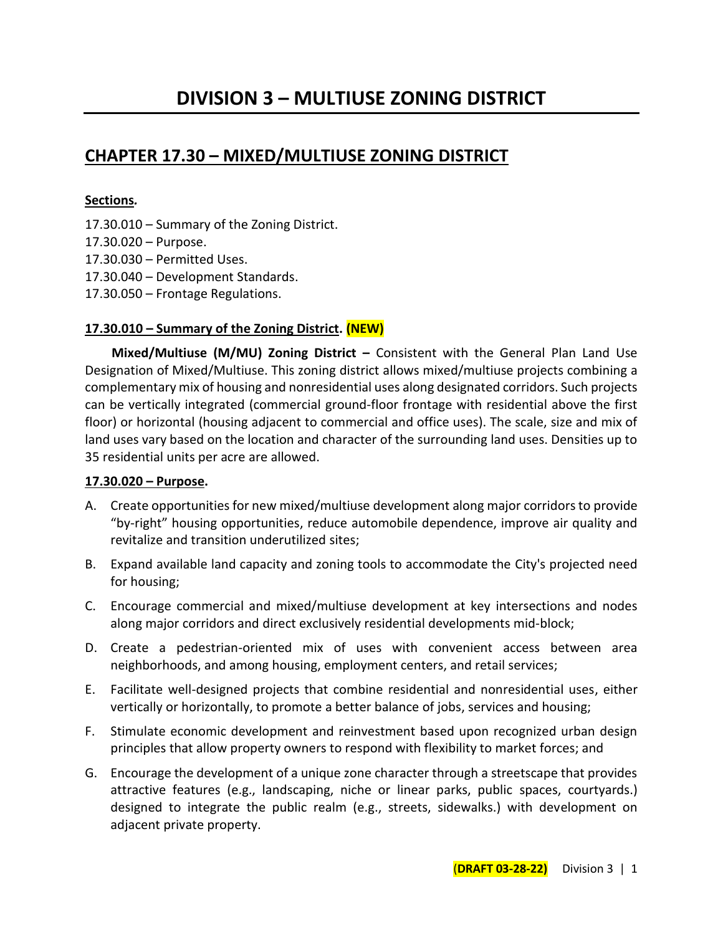# **CHAPTER 17.30 – MIXED/MULTIUSE ZONING DISTRICT**

#### **Sections***.*

- 17.30.010 Summary of the Zoning District.
- 17.30.020 Purpose.
- 17.30.030 Permitted Uses.
- 17.30.040 Development Standards.
- 17.30.050 Frontage Regulations.

#### **17.30.010 – Summary of the Zoning District. (NEW)**

**Mixed/Multiuse (M/MU) Zoning District –** Consistent with the General Plan Land Use Designation of Mixed/Multiuse. This zoning district allows mixed/multiuse projects combining a complementary mix of housing and nonresidential uses along designated corridors. Such projects can be vertically integrated (commercial ground-floor frontage with residential above the first floor) or horizontal (housing adjacent to commercial and office uses). The scale, size and mix of land uses vary based on the location and character of the surrounding land uses. Densities up to 35 residential units per acre are allowed.

#### **17.30.020 – Purpose.**

- A. Create opportunities for new mixed/multiuse development along major corridors to provide "by-right" housing opportunities, reduce automobile dependence, improve air quality and revitalize and transition underutilized sites;
- B. Expand available land capacity and zoning tools to accommodate the City's projected need for housing;
- C. Encourage commercial and mixed/multiuse development at key intersections and nodes along major corridors and direct exclusively residential developments mid-block;
- D. Create a pedestrian-oriented mix of uses with convenient access between area neighborhoods, and among housing, employment centers, and retail services;
- E. Facilitate well-designed projects that combine residential and nonresidential uses, either vertically or horizontally, to promote a better balance of jobs, services and housing;
- F. Stimulate economic development and reinvestment based upon recognized urban design principles that allow property owners to respond with flexibility to market forces; and
- G. Encourage the development of a unique zone character through a streetscape that provides attractive features (e.g., landscaping, niche or linear parks, public spaces, courtyards.) designed to integrate the public realm (e.g., streets, sidewalks.) with development on adjacent private property.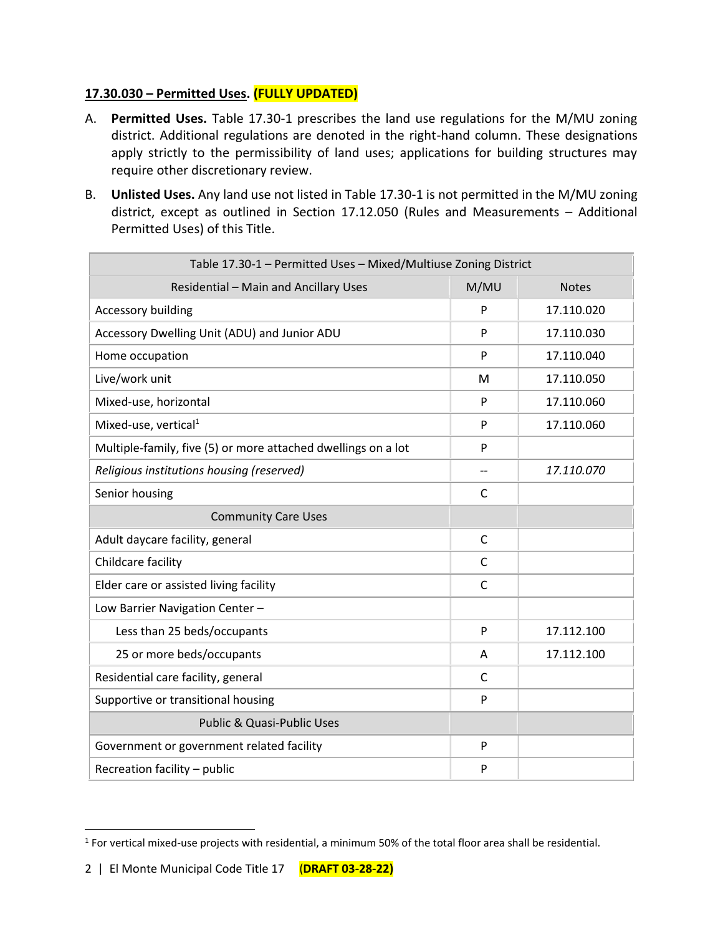### **17.30.030 – Permitted Uses. (FULLY UPDATED)**

- A. **Permitted Uses.** Table 17.30-1 prescribes the land use regulations for the M/MU zoning district. Additional regulations are denoted in the right-hand column. These designations apply strictly to the permissibility of land uses; applications for building structures may require other discretionary review.
- B. **Unlisted Uses.** Any land use not listed in Table 17.30-1 is not permitted in the M/MU zoning district, except as outlined in Section 17.12.050 (Rules and Measurements – Additional Permitted Uses) of this Title.

| Table 17.30-1 - Permitted Uses - Mixed/Multiuse Zoning District |              |              |
|-----------------------------------------------------------------|--------------|--------------|
| Residential - Main and Ancillary Uses                           | M/MU         | <b>Notes</b> |
| <b>Accessory building</b>                                       | P            | 17.110.020   |
| Accessory Dwelling Unit (ADU) and Junior ADU                    |              | 17.110.030   |
| Home occupation                                                 | P            | 17.110.040   |
| Live/work unit                                                  | M            | 17.110.050   |
| Mixed-use, horizontal                                           | P            | 17.110.060   |
| Mixed-use, vertical <sup>1</sup>                                | P            | 17.110.060   |
| Multiple-family, five (5) or more attached dwellings on a lot   | P            |              |
| Religious institutions housing (reserved)                       | --           | 17.110.070   |
| Senior housing                                                  | C            |              |
| <b>Community Care Uses</b>                                      |              |              |
| Adult daycare facility, general                                 | $\mathsf{C}$ |              |
| Childcare facility                                              | C            |              |
| Elder care or assisted living facility                          | $\mathsf{C}$ |              |
| Low Barrier Navigation Center -                                 |              |              |
| Less than 25 beds/occupants                                     | P            | 17.112.100   |
| 25 or more beds/occupants                                       | Α            | 17.112.100   |
| Residential care facility, general                              | C            |              |
| Supportive or transitional housing                              | P            |              |
| Public & Quasi-Public Uses                                      |              |              |
| Government or government related facility                       | P            |              |
| Recreation facility - public                                    | P            |              |

 $<sup>1</sup>$  For vertical mixed-use projects with residential, a minimum 50% of the total floor area shall be residential.</sup>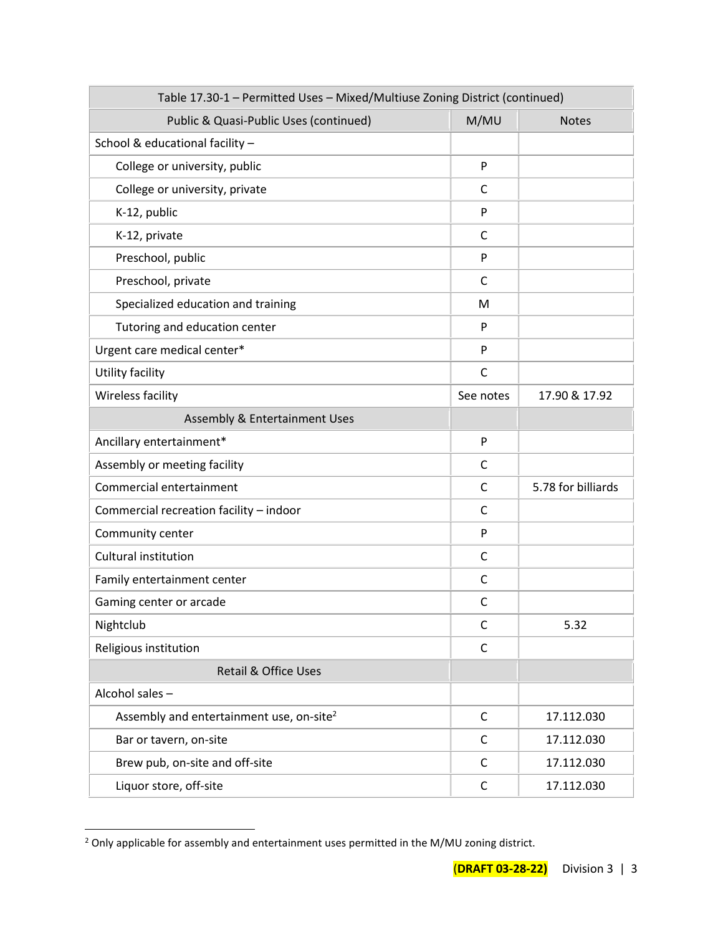| Table 17.30-1 - Permitted Uses - Mixed/Multiuse Zoning District (continued) |              |                    |
|-----------------------------------------------------------------------------|--------------|--------------------|
| Public & Quasi-Public Uses (continued)                                      | M/MU         | <b>Notes</b>       |
| School & educational facility -                                             |              |                    |
| College or university, public                                               | P            |                    |
| College or university, private                                              | C            |                    |
| K-12, public                                                                | P            |                    |
| K-12, private                                                               | C            |                    |
| Preschool, public                                                           | P            |                    |
| Preschool, private                                                          | C            |                    |
| Specialized education and training                                          | M            |                    |
| Tutoring and education center                                               | P            |                    |
| Urgent care medical center*                                                 | P            |                    |
| Utility facility                                                            | C            |                    |
| Wireless facility                                                           | See notes    | 17.90 & 17.92      |
| Assembly & Entertainment Uses                                               |              |                    |
| Ancillary entertainment*                                                    | P            |                    |
| Assembly or meeting facility                                                | C            |                    |
| Commercial entertainment                                                    | C            | 5.78 for billiards |
| Commercial recreation facility - indoor                                     | $\mathsf{C}$ |                    |
| Community center                                                            | P            |                    |
| Cultural institution                                                        | C            |                    |
| Family entertainment center                                                 | C            |                    |
| Gaming center or arcade                                                     | C            |                    |
| Nightclub                                                                   | C            | 5.32               |
| Religious institution                                                       | $\mathsf{C}$ |                    |
| <b>Retail &amp; Office Uses</b>                                             |              |                    |
| Alcohol sales-                                                              |              |                    |
| Assembly and entertainment use, on-site <sup>2</sup>                        | $\mathsf{C}$ | 17.112.030         |
| Bar or tavern, on-site                                                      | C            | 17.112.030         |
| Brew pub, on-site and off-site                                              | C            | 17.112.030         |
| Liquor store, off-site                                                      | $\mathsf{C}$ | 17.112.030         |

<sup>&</sup>lt;sup>2</sup> Only applicable for assembly and entertainment uses permitted in the M/MU zoning district.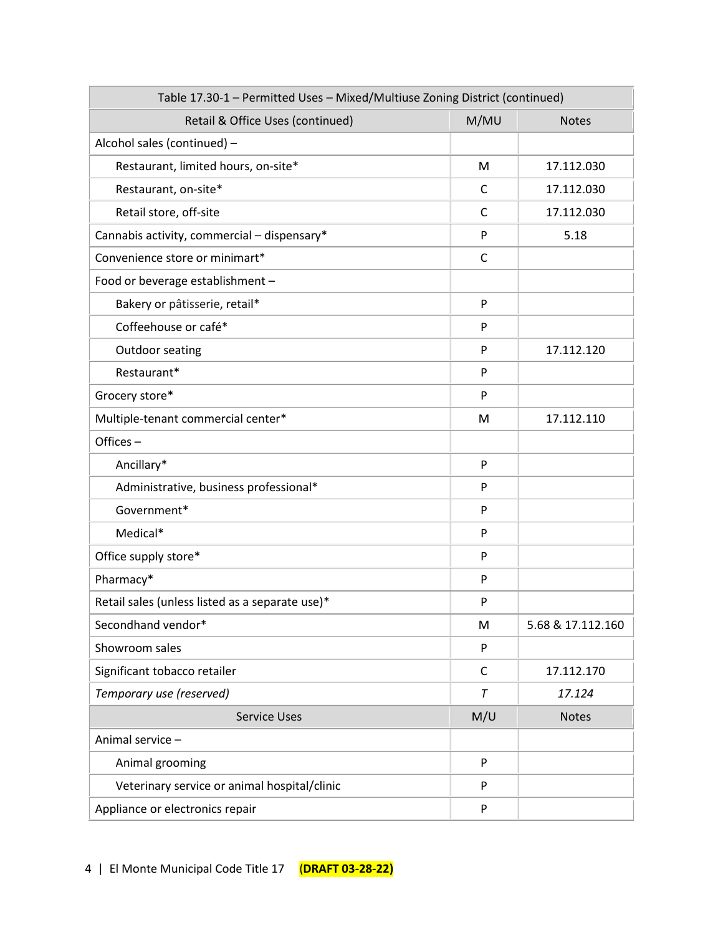| Table 17.30-1 - Permitted Uses - Mixed/Multiuse Zoning District (continued) |              |                   |
|-----------------------------------------------------------------------------|--------------|-------------------|
| Retail & Office Uses (continued)                                            | M/MU         | <b>Notes</b>      |
| Alcohol sales (continued) -                                                 |              |                   |
| Restaurant, limited hours, on-site*                                         | M            | 17.112.030        |
| Restaurant, on-site*                                                        | $\mathsf{C}$ | 17.112.030        |
| Retail store, off-site                                                      | C            | 17.112.030        |
| Cannabis activity, commercial - dispensary*                                 | P            | 5.18              |
| Convenience store or minimart*                                              | C            |                   |
| Food or beverage establishment -                                            |              |                   |
| Bakery or pâtisserie, retail*                                               | P            |                   |
| Coffeehouse or café*                                                        | P            |                   |
| <b>Outdoor seating</b>                                                      | P            | 17.112.120        |
| Restaurant*                                                                 | P            |                   |
| Grocery store*                                                              | P            |                   |
| Multiple-tenant commercial center*                                          | M            | 17.112.110        |
| Offices $-$                                                                 |              |                   |
| Ancillary*                                                                  | P            |                   |
| Administrative, business professional*                                      | P            |                   |
| Government*                                                                 | P            |                   |
| Medical*                                                                    | P            |                   |
| Office supply store*                                                        | P            |                   |
| Pharmacy*                                                                   | P            |                   |
| Retail sales (unless listed as a separate use)*                             | P            |                   |
| Secondhand vendor*                                                          | M            | 5.68 & 17.112.160 |
| Showroom sales                                                              | P            |                   |
| Significant tobacco retailer                                                | C            | 17.112.170        |
| Temporary use (reserved)                                                    | T            | 17.124            |
| <b>Service Uses</b>                                                         | M/U          | <b>Notes</b>      |
| Animal service -                                                            |              |                   |
| Animal grooming                                                             | P            |                   |
| Veterinary service or animal hospital/clinic                                | P            |                   |
| Appliance or electronics repair                                             | P            |                   |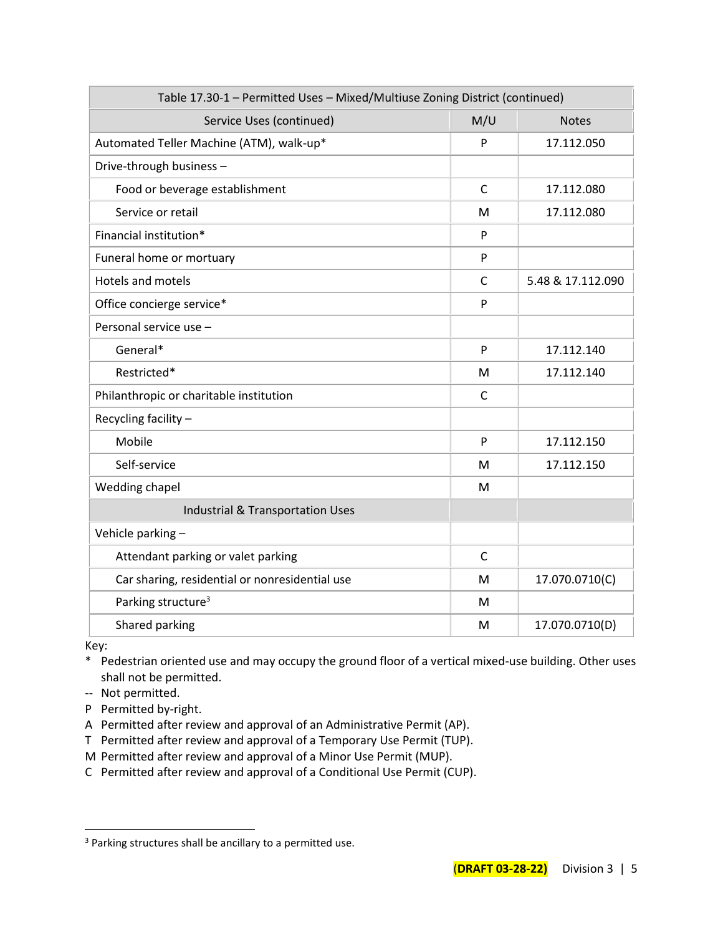| Table 17.30-1 - Permitted Uses - Mixed/Multiuse Zoning District (continued) |              |                   |
|-----------------------------------------------------------------------------|--------------|-------------------|
| Service Uses (continued)                                                    | M/U          | <b>Notes</b>      |
| Automated Teller Machine (ATM), walk-up*                                    | P            | 17.112.050        |
| Drive-through business-                                                     |              |                   |
| Food or beverage establishment                                              | $\mathsf{C}$ | 17.112.080        |
| Service or retail                                                           | M            | 17.112.080        |
| Financial institution*                                                      | P            |                   |
| Funeral home or mortuary                                                    | P            |                   |
| <b>Hotels and motels</b>                                                    | C            | 5.48 & 17.112.090 |
| Office concierge service*                                                   | P            |                   |
| Personal service use -                                                      |              |                   |
| General*                                                                    | P            | 17.112.140        |
| Restricted*                                                                 | м            | 17.112.140        |
| Philanthropic or charitable institution                                     | C            |                   |
| Recycling facility -                                                        |              |                   |
| Mobile                                                                      | P            | 17.112.150        |
| Self-service                                                                | M            | 17.112.150        |
| Wedding chapel                                                              | M            |                   |
| <b>Industrial &amp; Transportation Uses</b>                                 |              |                   |
| Vehicle parking-                                                            |              |                   |
| Attendant parking or valet parking                                          | $\mathsf{C}$ |                   |
| Car sharing, residential or nonresidential use                              | M            | 17.070.0710(C)    |
| Parking structure <sup>3</sup>                                              | M            |                   |
| Shared parking                                                              | M            | 17.070.0710(D)    |

Key:

- \* Pedestrian oriented use and may occupy the ground floor of a vertical mixed-use building. Other uses shall not be permitted.
- -- Not permitted.
- P Permitted by-right.
- A Permitted after review and approval of an Administrative Permit (AP).
- T Permitted after review and approval of a Temporary Use Permit (TUP).
- M Permitted after review and approval of a Minor Use Permit (MUP).
- C Permitted after review and approval of a Conditional Use Permit (CUP).

<sup>&</sup>lt;sup>3</sup> Parking structures shall be ancillary to a permitted use.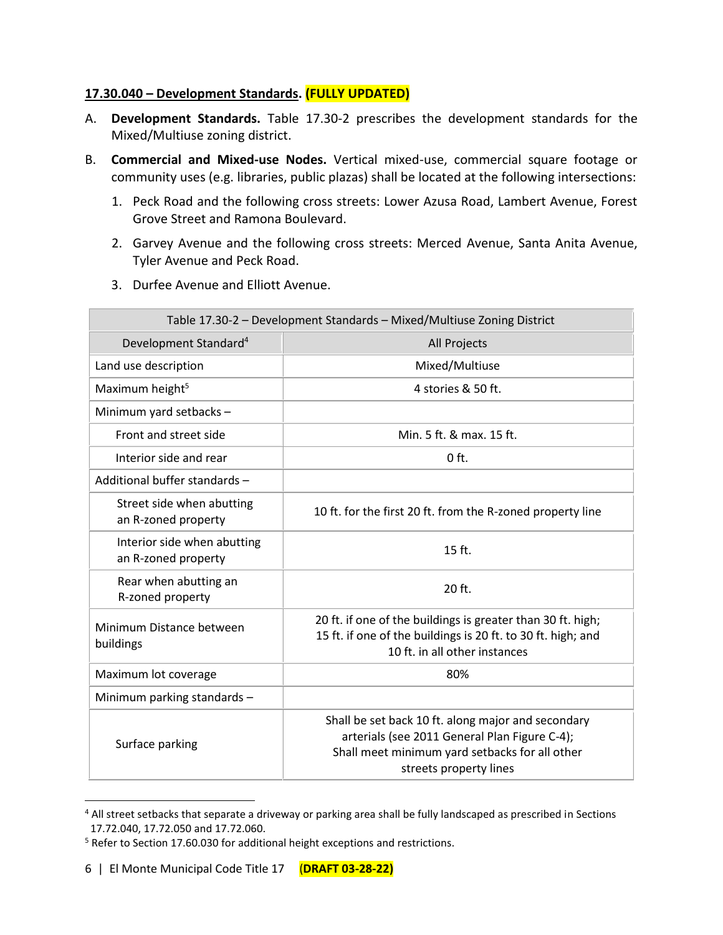#### **17.30.040 – Development Standards. (FULLY UPDATED)**

- A. **Development Standards.** Table 17.30-2 prescribes the development standards for the Mixed/Multiuse zoning district.
- B. **Commercial and Mixed-use Nodes.** Vertical mixed-use, commercial square footage or community uses (e.g. libraries, public plazas) shall be located at the following intersections:
	- 1. Peck Road and the following cross streets: Lower Azusa Road, Lambert Avenue, Forest Grove Street and Ramona Boulevard.
	- 2. Garvey Avenue and the following cross streets: Merced Avenue, Santa Anita Avenue, Tyler Avenue and Peck Road.
	- 3. Durfee Avenue and Elliott Avenue.

| Table 17.30-2 - Development Standards - Mixed/Multiuse Zoning District |                                                                                                                                                                                 |  |
|------------------------------------------------------------------------|---------------------------------------------------------------------------------------------------------------------------------------------------------------------------------|--|
| Development Standard <sup>4</sup>                                      | <b>All Projects</b>                                                                                                                                                             |  |
| Land use description                                                   | Mixed/Multiuse                                                                                                                                                                  |  |
| Maximum height <sup>5</sup>                                            | 4 stories & 50 ft.                                                                                                                                                              |  |
| Minimum yard setbacks -                                                |                                                                                                                                                                                 |  |
| Front and street side                                                  | Min. 5 ft. & max. 15 ft.                                                                                                                                                        |  |
| Interior side and rear                                                 | $0$ ft.                                                                                                                                                                         |  |
| Additional buffer standards -                                          |                                                                                                                                                                                 |  |
| Street side when abutting<br>an R-zoned property                       | 10 ft. for the first 20 ft. from the R-zoned property line                                                                                                                      |  |
| Interior side when abutting<br>an R-zoned property                     | 15 ft.                                                                                                                                                                          |  |
| Rear when abutting an<br>R-zoned property                              | 20 ft.                                                                                                                                                                          |  |
| Minimum Distance between<br>buildings                                  | 20 ft. if one of the buildings is greater than 30 ft. high;<br>15 ft. if one of the buildings is 20 ft. to 30 ft. high; and<br>10 ft. in all other instances                    |  |
| Maximum lot coverage                                                   | 80%                                                                                                                                                                             |  |
| Minimum parking standards -                                            |                                                                                                                                                                                 |  |
| Surface parking                                                        | Shall be set back 10 ft. along major and secondary<br>arterials (see 2011 General Plan Figure C-4);<br>Shall meet minimum yard setbacks for all other<br>streets property lines |  |

<sup>4</sup> All street setbacks that separate a driveway or parking area shall be fully landscaped as prescribed in Sections 17.72.040, 17.72.050 and 17.72.060.

<sup>&</sup>lt;sup>5</sup> Refer to Section 17.60.030 for additional height exceptions and restrictions.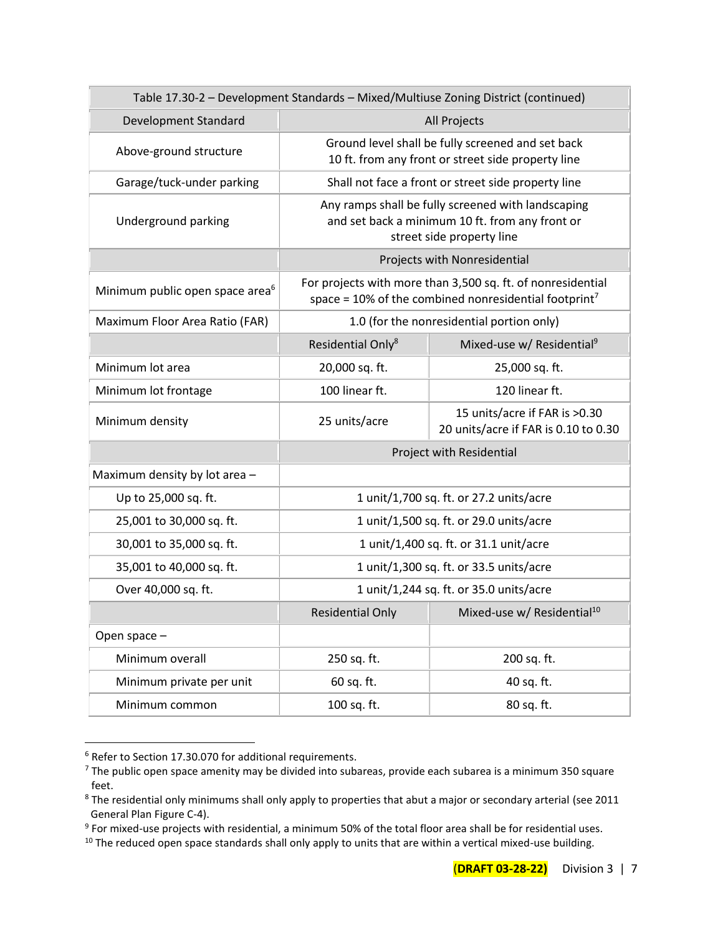| Table 17.30-2 - Development Standards - Mixed/Multiuse Zoning District (continued) |                                                                                                                                     |                                                                       |  |
|------------------------------------------------------------------------------------|-------------------------------------------------------------------------------------------------------------------------------------|-----------------------------------------------------------------------|--|
| Development Standard                                                               | All Projects                                                                                                                        |                                                                       |  |
| Above-ground structure                                                             | Ground level shall be fully screened and set back<br>10 ft. from any front or street side property line                             |                                                                       |  |
| Garage/tuck-under parking                                                          |                                                                                                                                     | Shall not face a front or street side property line                   |  |
| Underground parking                                                                | Any ramps shall be fully screened with landscaping<br>and set back a minimum 10 ft. from any front or<br>street side property line  |                                                                       |  |
|                                                                                    | Projects with Nonresidential                                                                                                        |                                                                       |  |
| Minimum public open space area <sup>6</sup>                                        | For projects with more than 3,500 sq. ft. of nonresidential<br>space = $10\%$ of the combined nonresidential footprint <sup>7</sup> |                                                                       |  |
| Maximum Floor Area Ratio (FAR)                                                     | 1.0 (for the nonresidential portion only)                                                                                           |                                                                       |  |
|                                                                                    | Residential Only <sup>8</sup>                                                                                                       | Mixed-use w/ Residential <sup>9</sup>                                 |  |
| Minimum lot area                                                                   | 20,000 sq. ft.                                                                                                                      | 25,000 sq. ft.                                                        |  |
| Minimum lot frontage                                                               | 100 linear ft.                                                                                                                      | 120 linear ft.                                                        |  |
| Minimum density                                                                    | 25 units/acre                                                                                                                       | 15 units/acre if FAR is >0.30<br>20 units/acre if FAR is 0.10 to 0.30 |  |
|                                                                                    | Project with Residential                                                                                                            |                                                                       |  |
| Maximum density by lot area -                                                      |                                                                                                                                     |                                                                       |  |
| Up to 25,000 sq. ft.                                                               | 1 unit/1,700 sq. ft. or 27.2 units/acre                                                                                             |                                                                       |  |
| 25,001 to 30,000 sq. ft.                                                           | 1 unit/1,500 sq. ft. or 29.0 units/acre                                                                                             |                                                                       |  |
| 30,001 to 35,000 sq. ft.                                                           | 1 unit/1,400 sq. ft. or 31.1 unit/acre                                                                                              |                                                                       |  |
| 35,001 to 40,000 sq. ft.                                                           | 1 unit/1,300 sq. ft. or 33.5 units/acre                                                                                             |                                                                       |  |
| Over 40,000 sq. ft.                                                                | 1 unit/1,244 sq. ft. or 35.0 units/acre                                                                                             |                                                                       |  |
|                                                                                    | <b>Residential Only</b>                                                                                                             | Mixed-use w/ Residential <sup>10</sup>                                |  |
| Open space -                                                                       |                                                                                                                                     |                                                                       |  |
| Minimum overall                                                                    | 250 sq. ft.                                                                                                                         | 200 sq. ft.                                                           |  |
| Minimum private per unit                                                           | 60 sq. ft.<br>40 sq. ft.                                                                                                            |                                                                       |  |
| Minimum common                                                                     | 100 sq. ft.<br>80 sq. ft.                                                                                                           |                                                                       |  |

<sup>6</sup> Refer to Section 17.30.070 for additional requirements.

<sup>&</sup>lt;sup>7</sup> The public open space amenity may be divided into subareas, provide each subarea is a minimum 350 square feet.

<sup>&</sup>lt;sup>8</sup> The residential only minimums shall only apply to properties that abut a major or secondary arterial (see 2011 General Plan Figure C-4).

 $9$  For mixed-use projects with residential, a minimum 50% of the total floor area shall be for residential uses.

<sup>&</sup>lt;sup>10</sup> The reduced open space standards shall only apply to units that are within a vertical mixed-use building.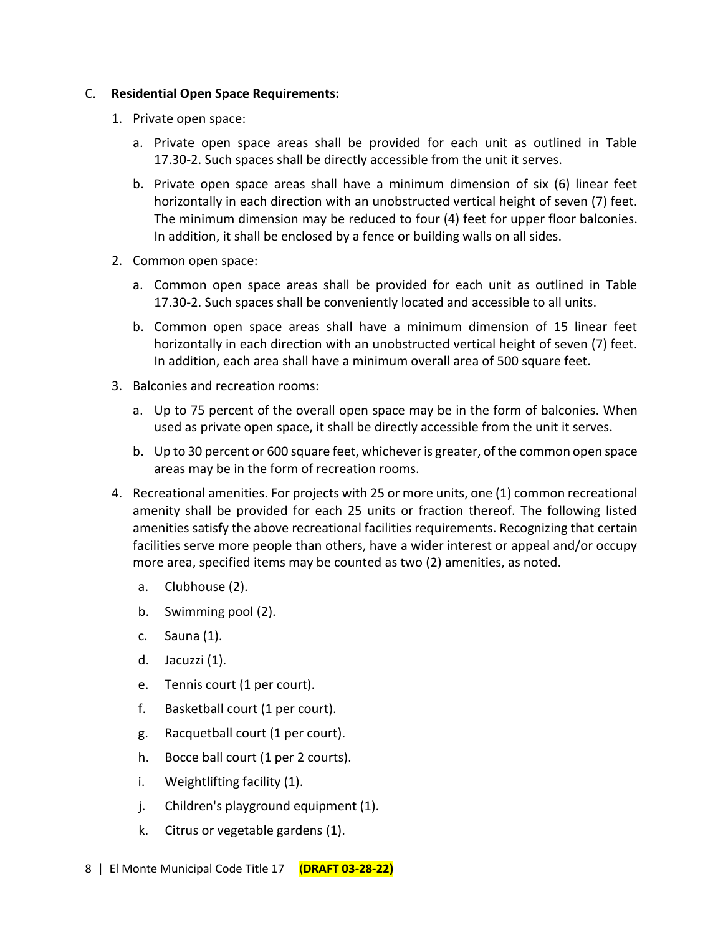#### C. **Residential Open Space Requirements:**

- 1. Private open space:
	- a. Private open space areas shall be provided for each unit as outlined in Table 17.30-2. Such spaces shall be directly accessible from the unit it serves.
	- b. Private open space areas shall have a minimum dimension of six (6) linear feet horizontally in each direction with an unobstructed vertical height of seven (7) feet. The minimum dimension may be reduced to four (4) feet for upper floor balconies. In addition, it shall be enclosed by a fence or building walls on all sides.
- 2. Common open space:
	- a. Common open space areas shall be provided for each unit as outlined in Table 17.30-2. Such spaces shall be conveniently located and accessible to all units.
	- b. Common open space areas shall have a minimum dimension of 15 linear feet horizontally in each direction with an unobstructed vertical height of seven (7) feet. In addition, each area shall have a minimum overall area of 500 square feet.
- 3. Balconies and recreation rooms:
	- a. Up to 75 percent of the overall open space may be in the form of balconies. When used as private open space, it shall be directly accessible from the unit it serves.
	- b. Up to 30 percent or 600 square feet, whichever is greater, of the common open space areas may be in the form of recreation rooms.
- 4. Recreational amenities. For projects with 25 or more units, one (1) common recreational amenity shall be provided for each 25 units or fraction thereof. The following listed amenities satisfy the above recreational facilities requirements. Recognizing that certain facilities serve more people than others, have a wider interest or appeal and/or occupy more area, specified items may be counted as two (2) amenities, as noted.
	- a. Clubhouse (2).
	- b. Swimming pool (2).
	- c. Sauna (1).
	- d. Jacuzzi (1).
	- e. Tennis court (1 per court).
	- f. Basketball court (1 per court).
	- g. Racquetball court (1 per court).
	- h. Bocce ball court (1 per 2 courts).
	- i. Weightlifting facility (1).
	- j. Children's playground equipment (1).
	- k. Citrus or vegetable gardens (1).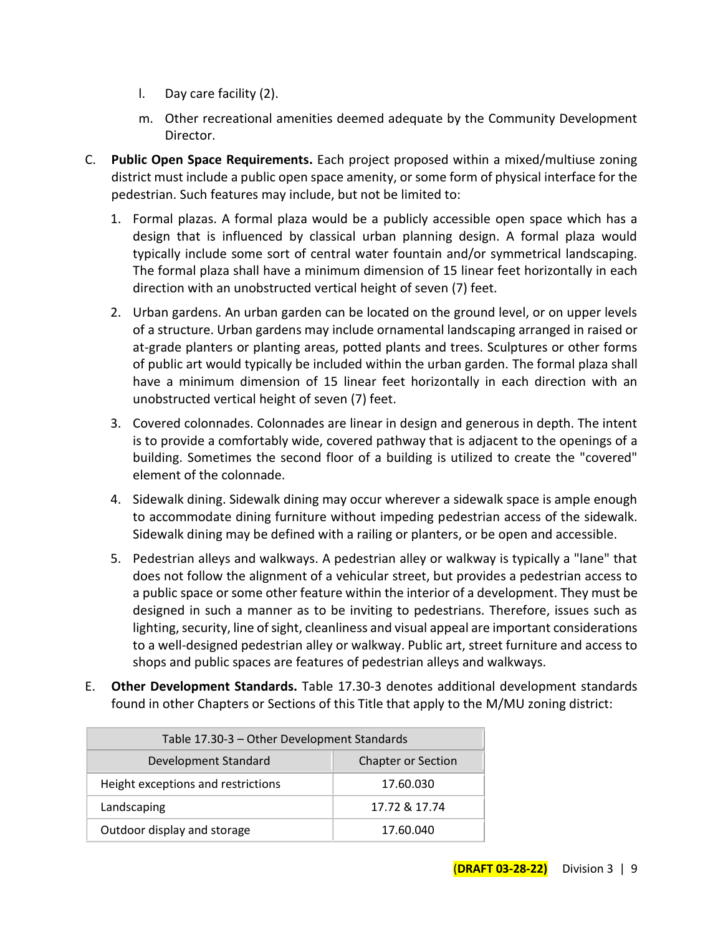- l. Day care facility (2).
- m. Other recreational amenities deemed adequate by the Community Development Director.
- C. **Public Open Space Requirements.** Each project proposed within a mixed/multiuse zoning district must include a public open space amenity, or some form of physical interface for the pedestrian. Such features may include, but not be limited to:
	- 1. Formal plazas. A formal plaza would be a publicly accessible open space which has a design that is influenced by classical urban planning design. A formal plaza would typically include some sort of central water fountain and/or symmetrical landscaping. The formal plaza shall have a minimum dimension of 15 linear feet horizontally in each direction with an unobstructed vertical height of seven (7) feet.
	- 2. Urban gardens. An urban garden can be located on the ground level, or on upper levels of a structure. Urban gardens may include ornamental landscaping arranged in raised or at-grade planters or planting areas, potted plants and trees. Sculptures or other forms of public art would typically be included within the urban garden. The formal plaza shall have a minimum dimension of 15 linear feet horizontally in each direction with an unobstructed vertical height of seven (7) feet.
	- 3. Covered colonnades. Colonnades are linear in design and generous in depth. The intent is to provide a comfortably wide, covered pathway that is adjacent to the openings of a building. Sometimes the second floor of a building is utilized to create the "covered" element of the colonnade.
	- 4. Sidewalk dining. Sidewalk dining may occur wherever a sidewalk space is ample enough to accommodate dining furniture without impeding pedestrian access of the sidewalk. Sidewalk dining may be defined with a railing or planters, or be open and accessible.
	- 5. Pedestrian alleys and walkways. A pedestrian alley or walkway is typically a "lane" that does not follow the alignment of a vehicular street, but provides a pedestrian access to a public space or some other feature within the interior of a development. They must be designed in such a manner as to be inviting to pedestrians. Therefore, issues such as lighting, security, line of sight, cleanliness and visual appeal are important considerations to a well-designed pedestrian alley or walkway. Public art, street furniture and access to shops and public spaces are features of pedestrian alleys and walkways.
- E. **Other Development Standards.** Table 17.30-3 denotes additional development standards found in other Chapters or Sections of this Title that apply to the M/MU zoning district:

| Table 17.30-3 - Other Development Standards |                           |  |
|---------------------------------------------|---------------------------|--|
| Development Standard                        | <b>Chapter or Section</b> |  |
| Height exceptions and restrictions          | 17.60.030                 |  |
| Landscaping                                 | 17.72 & 17.74             |  |
| Outdoor display and storage                 | 17.60.040                 |  |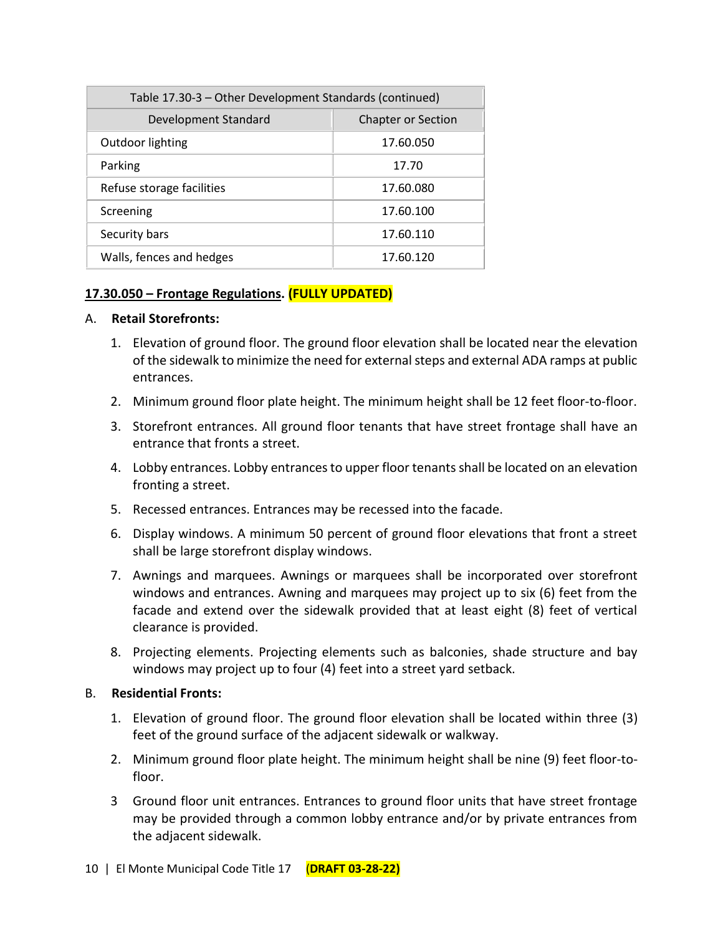| Table 17.30-3 - Other Development Standards (continued) |                           |  |
|---------------------------------------------------------|---------------------------|--|
| Development Standard                                    | <b>Chapter or Section</b> |  |
| Outdoor lighting                                        | 17.60.050                 |  |
| Parking                                                 | 17.70                     |  |
| Refuse storage facilities                               | 17.60.080                 |  |
| Screening                                               | 17.60.100                 |  |
| Security bars                                           | 17.60.110                 |  |
| Walls, fences and hedges                                | 17.60.120                 |  |

## **17.30.050 – Frontage Regulations. (FULLY UPDATED)**

#### A. **Retail Storefronts:**

- 1. Elevation of ground floor. The ground floor elevation shall be located near the elevation of the sidewalk to minimize the need for external steps and external ADA ramps at public entrances.
- 2. Minimum ground floor plate height. The minimum height shall be 12 feet floor-to-floor.
- 3. Storefront entrances. All ground floor tenants that have street frontage shall have an entrance that fronts a street.
- 4. Lobby entrances. Lobby entrances to upper floor tenantsshall be located on an elevation fronting a street.
- 5. Recessed entrances. Entrances may be recessed into the facade.
- 6. Display windows. A minimum 50 percent of ground floor elevations that front a street shall be large storefront display windows.
- 7. Awnings and marquees. Awnings or marquees shall be incorporated over storefront windows and entrances. Awning and marquees may project up to six (6) feet from the facade and extend over the sidewalk provided that at least eight (8) feet of vertical clearance is provided.
- 8. Projecting elements. Projecting elements such as balconies, shade structure and bay windows may project up to four (4) feet into a street yard setback.

## B. **Residential Fronts:**

- 1. Elevation of ground floor. The ground floor elevation shall be located within three (3) feet of the ground surface of the adjacent sidewalk or walkway.
- 2. Minimum ground floor plate height. The minimum height shall be nine (9) feet floor-tofloor.
- 3 Ground floor unit entrances. Entrances to ground floor units that have street frontage may be provided through a common lobby entrance and/or by private entrances from the adjacent sidewalk.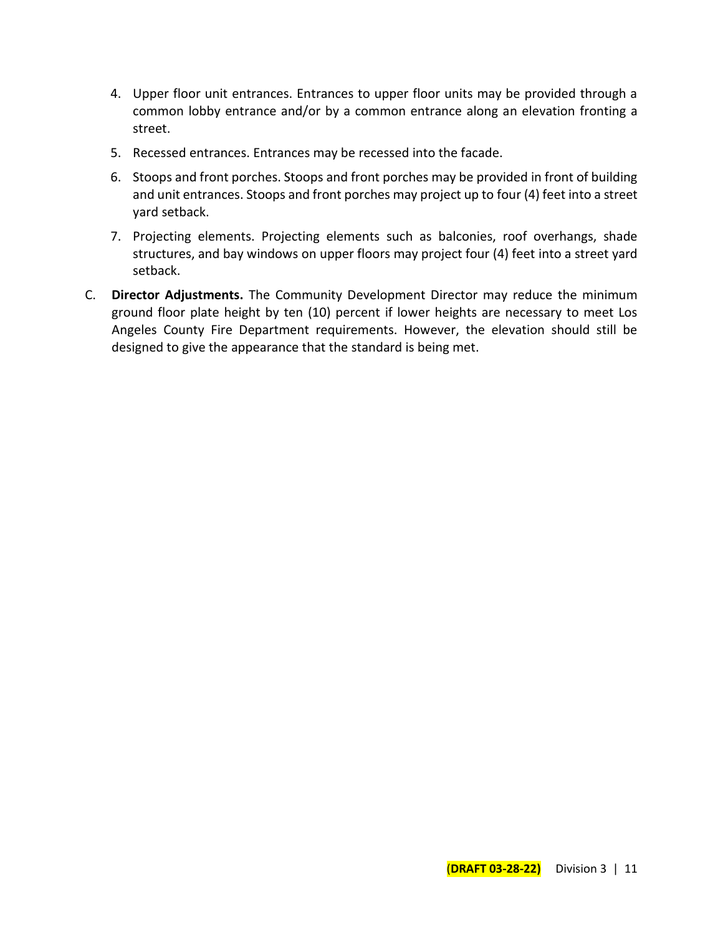- 4. Upper floor unit entrances. Entrances to upper floor units may be provided through a common lobby entrance and/or by a common entrance along an elevation fronting a street.
- 5. Recessed entrances. Entrances may be recessed into the facade.
- 6. Stoops and front porches. Stoops and front porches may be provided in front of building and unit entrances. Stoops and front porches may project up to four (4) feet into a street yard setback.
- 7. Projecting elements. Projecting elements such as balconies, roof overhangs, shade structures, and bay windows on upper floors may project four (4) feet into a street yard setback.
- C. **Director Adjustments.** The Community Development Director may reduce the minimum ground floor plate height by ten (10) percent if lower heights are necessary to meet Los Angeles County Fire Department requirements. However, the elevation should still be designed to give the appearance that the standard is being met.